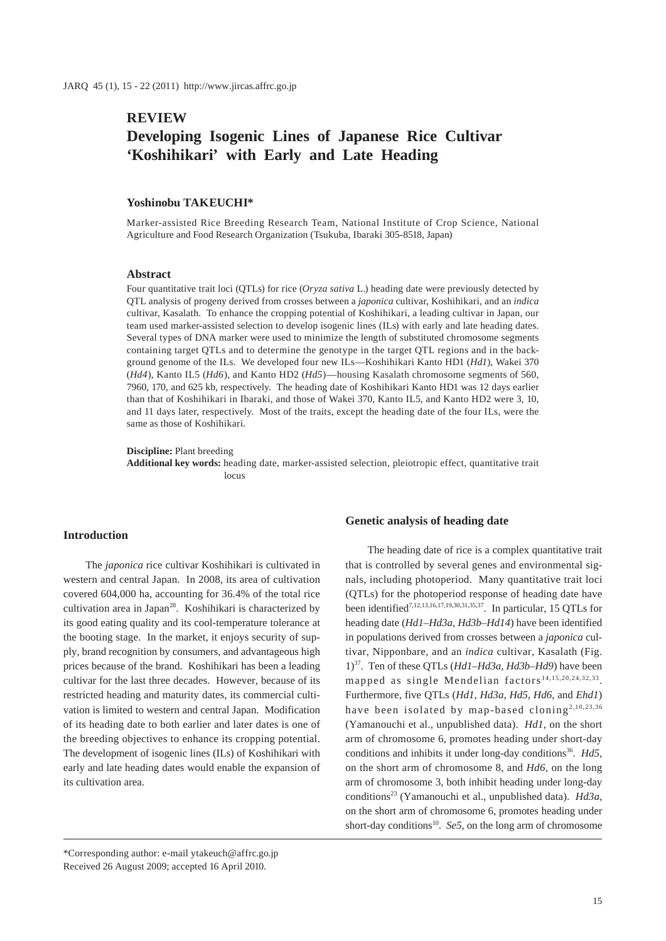## **REVIEW**

# **Developing Isogenic Lines of Japanese Rice Cultivar 'Koshihikari' with Early and Late Heading**

## **Yoshinobu TAKEUCHI\***

Marker-assisted Rice Breeding Research Team, National Institute of Crop Science, National Agriculture and Food Research Organization (Tsukuba, Ibaraki 305-8518, Japan)

#### **Abstract**

Four quantitative trait loci (QTLs) for rice (*Oryza sativa* L.) heading date were previously detected by QTL analysis of progeny derived from crosses between a *japonica* cultivar, Koshihikari, and an *indica* cultivar, Kasalath. To enhance the cropping potential of Koshihikari, a leading cultivar in Japan, our team used marker-assisted selection to develop isogenic lines (ILs) with early and late heading dates. Several types of DNA marker were used to minimize the length of substituted chromosome segments containing target QTLs and to determine the genotype in the target QTL regions and in the background genome of the ILs. We developed four new ILs—Koshihikari Kanto HD1 (*Hd1*), Wakei 370 (*Hd4*), Kanto IL5 (*Hd6*), and Kanto HD2 (*Hd5*)—housing Kasalath chromosome segments of 560, 7960, 170, and 625 kb, respectively. The heading date of Koshihikari Kanto HD1 was 12 days earlier than that of Koshihikari in Ibaraki, and those of Wakei 370, Kanto IL5, and Kanto HD2 were 3, 10, and 11 days later, respectively. Most of the traits, except the heading date of the four ILs, were the same as those of Koshihikari.

**Discipline:** Plant breeding

**Additional key words:** heading date, marker-assisted selection, pleiotropic effect, quantitative trait locus

#### **Introduction**

The *japonica* rice cultivar Koshihikari is cultivated in western and central Japan. In 2008, its area of cultivation covered 604,000 ha, accounting for 36.4% of the total rice cultivation area in Japan<sup>28</sup>. Koshihikari is characterized by its good eating quality and its cool-temperature tolerance at the booting stage. In the market, it enjoys security of supply, brand recognition by consumers, and advantageous high prices because of the brand. Koshihikari has been a leading cultivar for the last three decades. However, because of its restricted heading and maturity dates, its commercial cultivation is limited to western and central Japan. Modification of its heading date to both earlier and later dates is one of the breeding objectives to enhance its cropping potential. The development of isogenic lines (ILs) of Koshihikari with early and late heading dates would enable the expansion of its cultivation area.

#### **Genetic analysis of heading date**

The heading date of rice is a complex quantitative trait that is controlled by several genes and environmental signals, including photoperiod. Many quantitative trait loci (QTLs) for the photoperiod response of heading date have been identified<sup>7,12,13,16,17,19,30,31,35,37</sup>. In particular, 15 QTLs for heading date (*Hd1*–*Hd3a*, *Hd3b*–*Hd14*) have been identified in populations derived from crosses between a *japonica* cultivar, Nipponbare, and an *indica* cultivar, Kasalath (Fig. 1)37. Ten of these QTLs (*Hd1*–*Hd3a*, *Hd3b*–*Hd9*) have been mapped as single Mendelian factors<sup>14,15,20,24,32,33</sup>. Furthermore, five QTLs (*Hd1*, *Hd3a*, *Hd5*, *Hd6*, and *Ehd1*) have been isolated by map-based cloning<sup>2,10,23,36</sup> (Yamanouchi et al., unpublished data). *Hd1*, on the short arm of chromosome 6, promotes heading under short-day conditions and inhibits it under long-day conditions<sup>36</sup>. *Hd5*, on the short arm of chromosome 8, and *Hd6*, on the long arm of chromosome 3, both inhibit heading under long-day conditions23 (Yamanouchi et al., unpublished data). *Hd3a*, on the short arm of chromosome 6, promotes heading under short-day conditions<sup>10</sup>. *Se5*, on the long arm of chromosome

\*Corresponding author: e-mail ytakeuch@affrc.go.jp Received 26 August 2009; accepted 16 April 2010.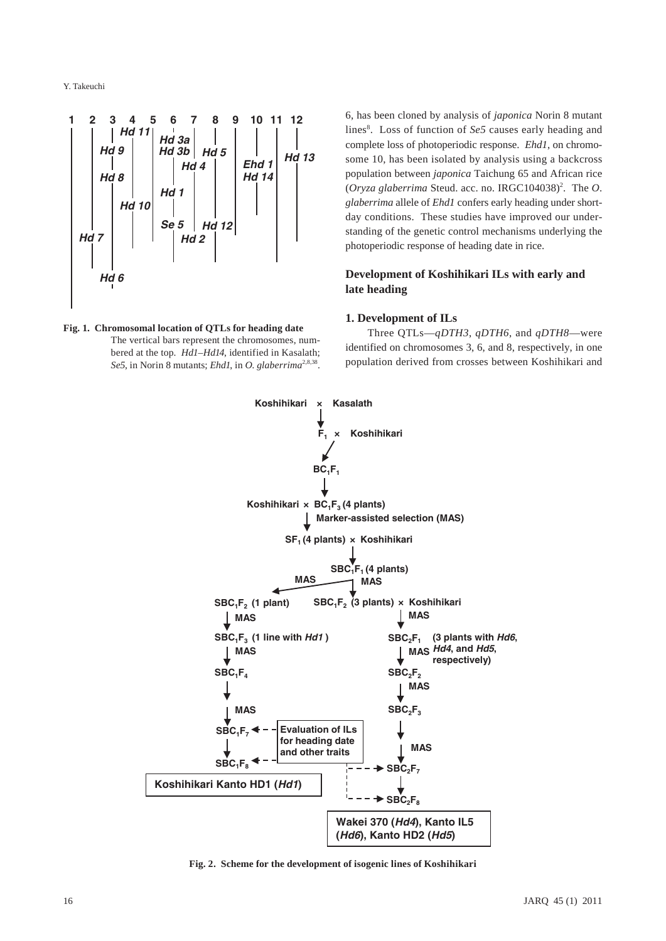

**Fig. 1. Chromosomal location of QTLs for heading date** The vertical bars represent the chromosomes, numbered at the top. *Hd1*–*Hd14*, identified in Kasalath; *Se5*, in Norin 8 mutants; *Ehd1*, in *O. glaberrima*2,8,38.

6, has been cloned by analysis of *japonica* Norin 8 mutant lines<sup>8</sup>. Loss of function of *Se5* causes early heading and complete loss of photoperiodic response. *Ehd1*, on chromosome 10, has been isolated by analysis using a backcross population between *japonica* Taichung 65 and African rice (Oryza glaberrima Steud. acc. no. IRGC104038)<sup>2</sup>. The O. *glaberrima* allele of *Ehd1* confers early heading under shortday conditions. These studies have improved our understanding of the genetic control mechanisms underlying the photoperiodic response of heading date in rice.

## **Development of Koshihikari ILs with early and late heading**

## **1. Development of ILs**

Three QTLs—*qDTH3*, *qDTH6*, and *qDTH8*—were identified on chromosomes 3, 6, and 8, respectively, in one population derived from crosses between Koshihikari and



**Fig. 2. Scheme for the development of isogenic lines of Koshihikari**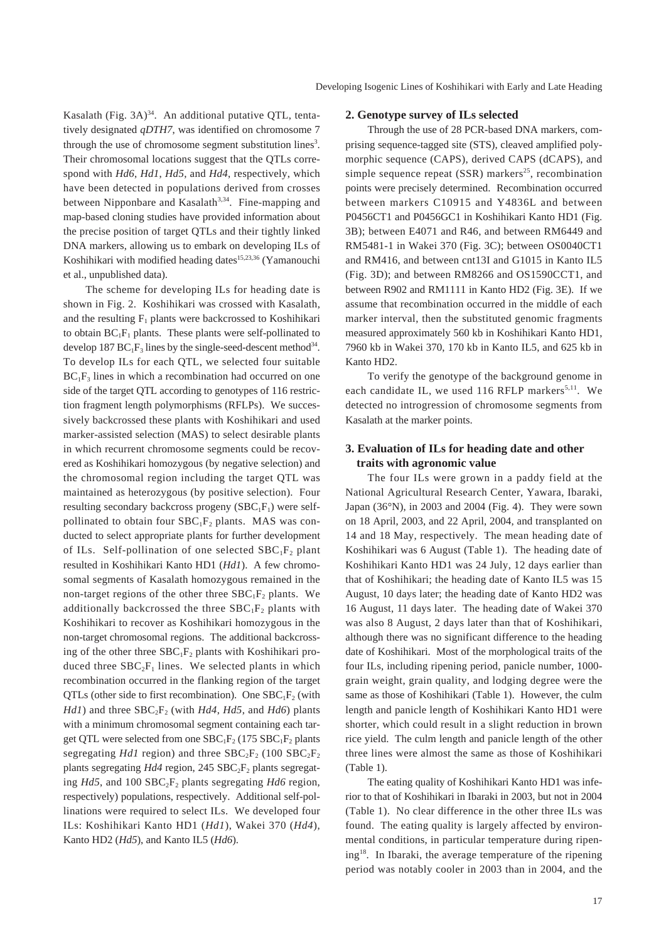Kasalath (Fig.  $3A$ )<sup>34</sup>. An additional putative QTL, tentatively designated *qDTH7*, was identified on chromosome 7 through the use of chromosome segment substitution lines<sup>3</sup>. Their chromosomal locations suggest that the QTLs correspond with *Hd6*, *Hd1*, *Hd5*, and *Hd4*, respectively, which have been detected in populations derived from crosses between Nipponbare and Kasalath<sup>3,34</sup>. Fine-mapping and map-based cloning studies have provided information about the precise position of target QTLs and their tightly linked DNA markers, allowing us to embark on developing ILs of Koshihikari with modified heading dates<sup>15,23,36</sup> (Yamanouchi et al., unpublished data).

The scheme for developing ILs for heading date is shown in Fig. 2. Koshihikari was crossed with Kasalath, and the resulting  $F_1$  plants were backcrossed to Koshihikari to obtain  $BC_1F_1$  plants. These plants were self-pollinated to develop 187  $BC_1F_3$  lines by the single-seed-descent method<sup>34</sup>. To develop ILs for each QTL, we selected four suitable  $BC_1F_3$  lines in which a recombination had occurred on one side of the target QTL according to genotypes of 116 restriction fragment length polymorphisms (RFLPs). We successively backcrossed these plants with Koshihikari and used marker-assisted selection (MAS) to select desirable plants in which recurrent chromosome segments could be recovered as Koshihikari homozygous (by negative selection) and the chromosomal region including the target QTL was maintained as heterozygous (by positive selection). Four resulting secondary backcross progeny  $(SBC_1F_1)$  were selfpollinated to obtain four  $SBC_1F_2$  plants. MAS was conducted to select appropriate plants for further development of ILs. Self-pollination of one selected  $SBC_1F_2$  plant resulted in Koshihikari Kanto HD1 (*Hd1*). A few chromosomal segments of Kasalath homozygous remained in the non-target regions of the other three  $SBC_1F_2$  plants. We additionally backcrossed the three  $SBC_1F_2$  plants with Koshihikari to recover as Koshihikari homozygous in the non-target chromosomal regions. The additional backcrossing of the other three  $SBC_1F_2$  plants with Koshihikari produced three  $SBC_2F_1$  lines. We selected plants in which recombination occurred in the flanking region of the target QTLs (other side to first recombination). One  $SBC_1F_2$  (with *Hd1*) and three  $SBC_2F_2$  (with *Hd4*, *Hd5*, and *Hd6*) plants with a minimum chromosomal segment containing each target QTL were selected from one  $SBC_1F_2$  (175  $SBC_1F_2$  plants segregating *Hd1* region) and three  $SBC_2F_2$  (100  $SBC_2F_2$ ) plants segregating  $Hd4$  region, 245  $SBC_2F_2$  plants segregating *Hd5*, and 100 SBC<sub>2</sub>F<sub>2</sub> plants segregating *Hd6* region, respectively) populations, respectively. Additional self-pollinations were required to select ILs. We developed four ILs: Koshihikari Kanto HD1 (*Hd1*), Wakei 370 (*Hd4*), Kanto HD2 (*Hd5*), and Kanto IL5 (*Hd6*).

#### **2. Genotype survey of ILs selected**

Through the use of 28 PCR-based DNA markers, comprising sequence-tagged site (STS), cleaved amplified polymorphic sequence (CAPS), derived CAPS (dCAPS), and simple sequence repeat  $(SSR)$  markers<sup>25</sup>, recombination points were precisely determined. Recombination occurred between markers C10915 and Y4836L and between P0456CT1 and P0456GC1 in Koshihikari Kanto HD1 (Fig. 3B); between E4071 and R46, and between RM6449 and RM5481-1 in Wakei 370 (Fig. 3C); between OS0040CT1 and RM416, and between cnt13I and G1015 in Kanto IL5 (Fig. 3D); and between RM8266 and OS1590CCT1, and between R902 and RM1111 in Kanto HD2 (Fig. 3E). If we assume that recombination occurred in the middle of each marker interval, then the substituted genomic fragments measured approximately 560 kb in Koshihikari Kanto HD1, 7960 kb in Wakei 370, 170 kb in Kanto IL5, and 625 kb in Kanto HD2.

To verify the genotype of the background genome in each candidate IL, we used 116 RFLP markers<sup>5,11</sup>. We detected no introgression of chromosome segments from Kasalath at the marker points.

## **3. Evaluation of ILs for heading date and other traits with agronomic value**

The four ILs were grown in a paddy field at the National Agricultural Research Center, Yawara, Ibaraki, Japan (36°N), in 2003 and 2004 (Fig. 4). They were sown on 18 April, 2003, and 22 April, 2004, and transplanted on 14 and 18 May, respectively. The mean heading date of Koshihikari was 6 August (Table 1). The heading date of Koshihikari Kanto HD1 was 24 July, 12 days earlier than that of Koshihikari; the heading date of Kanto IL5 was 15 August, 10 days later; the heading date of Kanto HD2 was 16 August, 11 days later. The heading date of Wakei 370 was also 8 August, 2 days later than that of Koshihikari, although there was no significant difference to the heading date of Koshihikari. Most of the morphological traits of the four ILs, including ripening period, panicle number, 1000 grain weight, grain quality, and lodging degree were the same as those of Koshihikari (Table 1). However, the culm length and panicle length of Koshihikari Kanto HD1 were shorter, which could result in a slight reduction in brown rice yield. The culm length and panicle length of the other three lines were almost the same as those of Koshihikari (Table 1).

The eating quality of Koshihikari Kanto HD1 was inferior to that of Koshihikari in Ibaraki in 2003, but not in 2004 (Table 1). No clear difference in the other three ILs was found. The eating quality is largely affected by environmental conditions, in particular temperature during ripening18. In Ibaraki, the average temperature of the ripening period was notably cooler in 2003 than in 2004, and the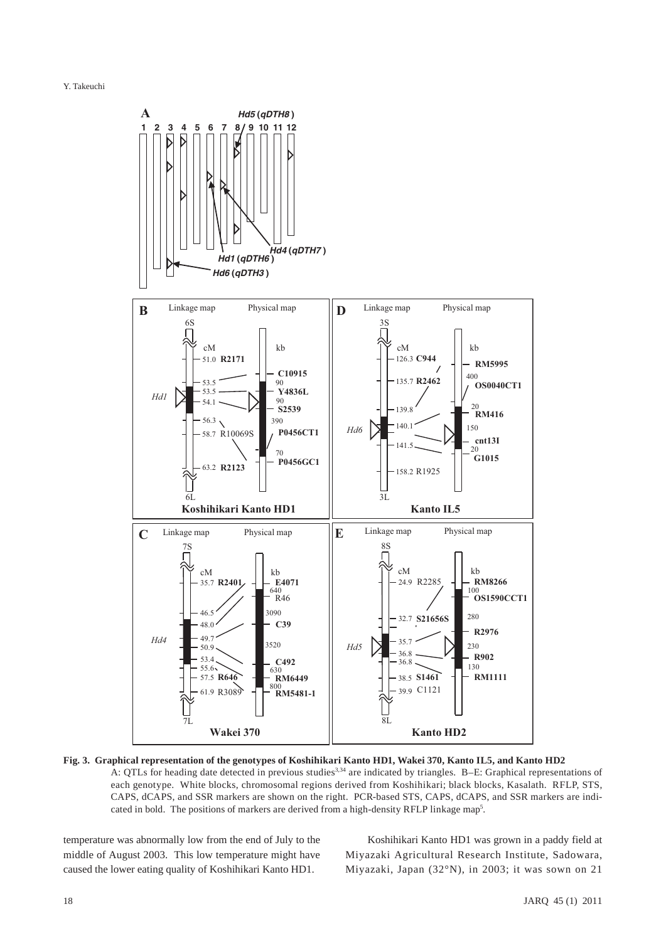

**Fig. 3. Graphical representation of the genotypes of Koshihikari Kanto HD1, Wakei 370, Kanto IL5, and Kanto HD2**  A: QTLs for heading date detected in previous studies<sup>3,34</sup> are indicated by triangles. B-E: Graphical representations of each genotype. White blocks, chromosomal regions derived from Koshihikari; black blocks, Kasalath. RFLP, STS, CAPS, dCAPS, and SSR markers are shown on the right. PCR-based STS, CAPS, dCAPS, and SSR markers are indicated in bold. The positions of markers are derived from a high-density RFLP linkage map<sup>5</sup>.

temperature was abnormally low from the end of July to the middle of August 2003. This low temperature might have caused the lower eating quality of Koshihikari Kanto HD1.

Koshihikari Kanto HD1 was grown in a paddy field at Miyazaki Agricultural Research Institute, Sadowara, Miyazaki, Japan (32°N), in 2003; it was sown on 21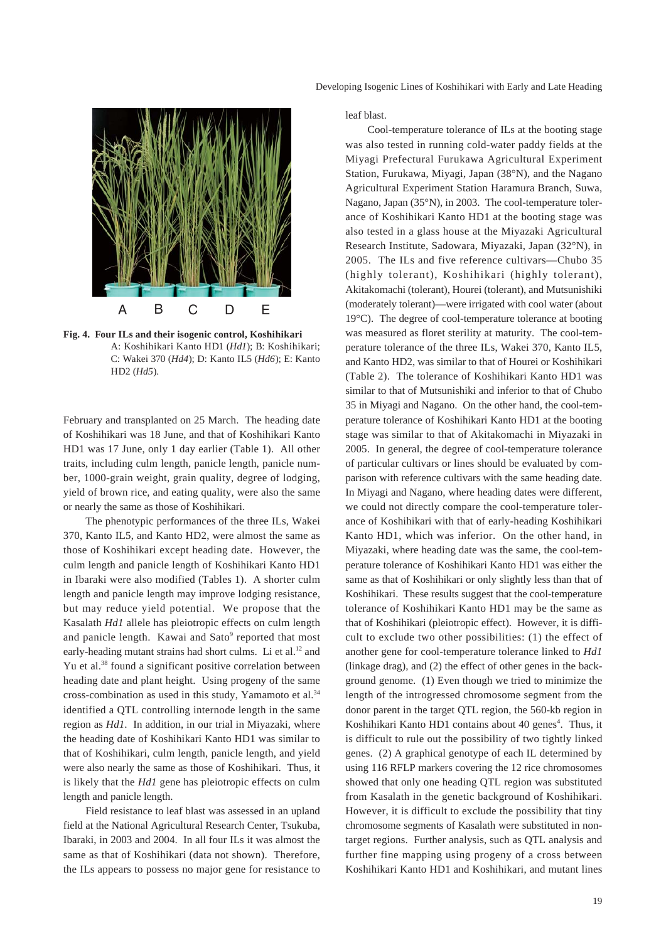



**Fig. 4. Four ILs and their isogenic control, Koshihikari** A: Koshihikari Kanto HD1 (*Hd1*); B: Koshihikari; C: Wakei 370 (*Hd4*); D: Kanto IL5 (*Hd6*); E: Kanto HD2 (*Hd5*).

February and transplanted on 25 March. The heading date of Koshihikari was 18 June, and that of Koshihikari Kanto HD1 was 17 June, only 1 day earlier (Table 1). All other traits, including culm length, panicle length, panicle number, 1000-grain weight, grain quality, degree of lodging, yield of brown rice, and eating quality, were also the same or nearly the same as those of Koshihikari.

The phenotypic performances of the three ILs, Wakei 370, Kanto IL5, and Kanto HD2, were almost the same as those of Koshihikari except heading date. However, the culm length and panicle length of Koshihikari Kanto HD1 in Ibaraki were also modified (Tables 1). A shorter culm length and panicle length may improve lodging resistance, but may reduce yield potential. We propose that the Kasalath *Hd1* allele has pleiotropic effects on culm length and panicle length. Kawai and Sato<sup>9</sup> reported that most early-heading mutant strains had short culms. Li et al.<sup>12</sup> and Yu et al.<sup>38</sup> found a significant positive correlation between heading date and plant height. Using progeny of the same cross-combination as used in this study, Yamamoto et al.34 identified a QTL controlling internode length in the same region as *Hd1*. In addition, in our trial in Miyazaki, where the heading date of Koshihikari Kanto HD1 was similar to that of Koshihikari, culm length, panicle length, and yield were also nearly the same as those of Koshihikari. Thus, it is likely that the *Hd1* gene has pleiotropic effects on culm length and panicle length.

Field resistance to leaf blast was assessed in an upland field at the National Agricultural Research Center, Tsukuba, Ibaraki, in 2003 and 2004. In all four ILs it was almost the same as that of Koshihikari (data not shown). Therefore, the ILs appears to possess no major gene for resistance to leaf blast.

Cool-temperature tolerance of ILs at the booting stage was also tested in running cold-water paddy fields at the Miyagi Prefectural Furukawa Agricultural Experiment Station, Furukawa, Miyagi, Japan (38°N), and the Nagano Agricultural Experiment Station Haramura Branch, Suwa, Nagano, Japan (35°N), in 2003. The cool-temperature tolerance of Koshihikari Kanto HD1 at the booting stage was also tested in a glass house at the Miyazaki Agricultural Research Institute, Sadowara, Miyazaki, Japan (32°N), in 2005. The ILs and five reference cultivars—Chubo 35 (highly tolerant), Koshihikari (highly tolerant), Akitakomachi (tolerant), Hourei (tolerant), and Mutsunishiki (moderately tolerant)—were irrigated with cool water (about 19°C). The degree of cool-temperature tolerance at booting was measured as floret sterility at maturity. The cool-temperature tolerance of the three ILs, Wakei 370, Kanto IL5, and Kanto HD2, was similar to that of Hourei or Koshihikari (Table 2). The tolerance of Koshihikari Kanto HD1 was similar to that of Mutsunishiki and inferior to that of Chubo 35 in Miyagi and Nagano. On the other hand, the cool-temperature tolerance of Koshihikari Kanto HD1 at the booting stage was similar to that of Akitakomachi in Miyazaki in 2005. In general, the degree of cool-temperature tolerance of particular cultivars or lines should be evaluated by comparison with reference cultivars with the same heading date. In Miyagi and Nagano, where heading dates were different, we could not directly compare the cool-temperature tolerance of Koshihikari with that of early-heading Koshihikari Kanto HD1, which was inferior. On the other hand, in Miyazaki, where heading date was the same, the cool-temperature tolerance of Koshihikari Kanto HD1 was either the same as that of Koshihikari or only slightly less than that of Koshihikari. These results suggest that the cool-temperature tolerance of Koshihikari Kanto HD1 may be the same as that of Koshihikari (pleiotropic effect). However, it is difficult to exclude two other possibilities: (1) the effect of another gene for cool-temperature tolerance linked to *Hd1* (linkage drag), and (2) the effect of other genes in the background genome. (1) Even though we tried to minimize the length of the introgressed chromosome segment from the donor parent in the target QTL region, the 560-kb region in Koshihikari Kanto HD1 contains about 40 genes<sup>4</sup>. Thus, it is difficult to rule out the possibility of two tightly linked genes. (2) A graphical genotype of each IL determined by using 116 RFLP markers covering the 12 rice chromosomes showed that only one heading QTL region was substituted from Kasalath in the genetic background of Koshihikari. However, it is difficult to exclude the possibility that tiny chromosome segments of Kasalath were substituted in nontarget regions. Further analysis, such as QTL analysis and further fine mapping using progeny of a cross between Koshihikari Kanto HD1 and Koshihikari, and mutant lines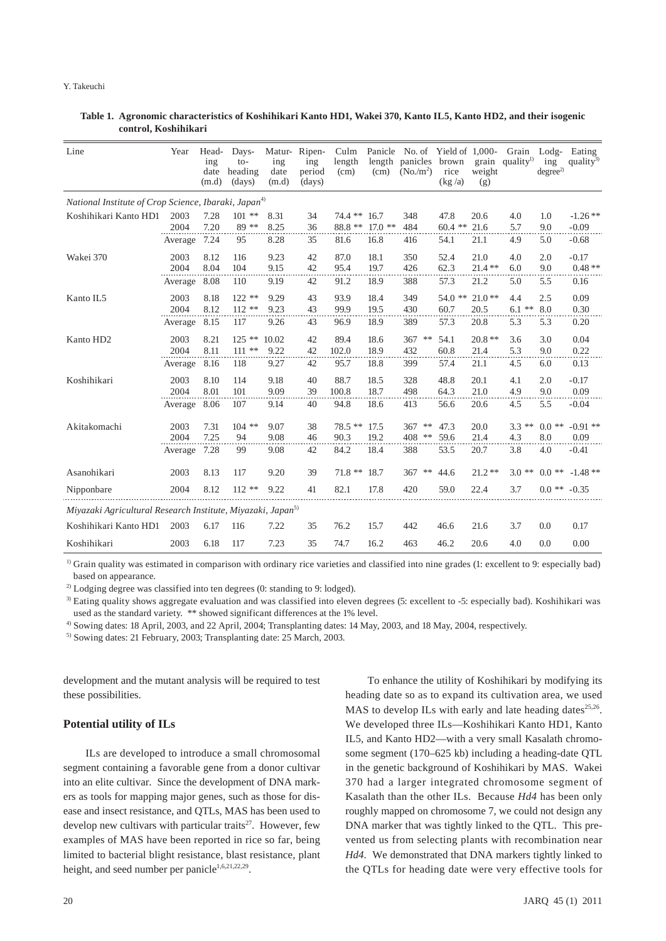| Line                                                                    | Year         | Head-<br>ing<br>date<br>(m.d) | Days-<br>$to-$<br>heading<br>(days) | Matur-<br>ing<br>date<br>(m.d) | Ripen-<br>$\frac{1}{2}$<br>period<br>(days) | Culm<br>length<br>(cm) | length<br>(cm)    | Panicle No. of Yield of 1,000-<br>panicles brown<br>$(No/m^2)$ | rice<br>(kg/a)     | weight<br>(g)    | Grain<br>grain quality <sup>1)</sup> | $\text{Lodg}-$<br>ing<br>degree <sup>2</sup> | Eating<br>quality <sup>3)</sup> |
|-------------------------------------------------------------------------|--------------|-------------------------------|-------------------------------------|--------------------------------|---------------------------------------------|------------------------|-------------------|----------------------------------------------------------------|--------------------|------------------|--------------------------------------|----------------------------------------------|---------------------------------|
| National Institute of Crop Science, Ibaraki, Japan <sup>4)</sup>        |              |                               |                                     |                                |                                             |                        |                   |                                                                |                    |                  |                                      |                                              |                                 |
| Koshihikari Kanto HD1                                                   | 2003<br>2004 | 7.28<br>7.20                  | $101$ **<br>89 **                   | 8.31<br>8.25                   | 34<br>36                                    | 74.4 **<br>88.8 **     | 16.7<br>$17.0$ ** | 348<br>484                                                     | 47.8<br>$60.4$ **  | 20.6<br>21.6     | 4.0<br>5.7                           | 1.0<br>9.0                                   | $-1.26$ **<br>$-0.09$           |
|                                                                         | Average      | 7.24                          | 95                                  | 8.28                           | 35                                          | 81.6                   | 16.8              | 416                                                            | 54.1               | 21.1             | 4.9                                  | 5.0                                          | $-0.68$                         |
| Wakei 370                                                               | 2003<br>2004 | 8.12<br>8.04                  | 116<br>104                          | 9.23<br>9.15                   | 42<br>42                                    | 87.0<br>95.4           | 18.1<br>19.7      | 350<br>426                                                     | 52.4<br>62.3       | 21.0<br>$21.4**$ | 4.0<br>6.0                           | 2.0<br>9.0                                   | $-0.17$<br>$0.48**$             |
|                                                                         | Average      | 8.08                          | 110                                 | 9.19                           | 42                                          | 91.2                   | 18.9              | 388                                                            | 57.3               | 21.2             | 5.0                                  | 5.5                                          | 0.16                            |
| Kanto IL5                                                               | 2003<br>2004 | 8.18<br>8.12                  | $122**$<br>$112**$                  | 9.29<br>9.23                   | 43<br>43                                    | 93.9<br>99.9           | 18.4<br>19.5      | 349<br>430                                                     | 54.0<br>**<br>60.7 | $21.0**$<br>20.5 | 4.4<br>$6.1$ **                      | 2.5<br>8.0                                   | 0.09<br>0.30                    |
|                                                                         | Average      | 8.15                          | 117                                 | 9.26                           | 43                                          | 96.9                   | 18.9              | 389                                                            | 57.3               | 20.8             | 5.3                                  | 5.3                                          | 0.20                            |
| Kanto HD <sub>2</sub>                                                   | 2003<br>2004 | 8.21<br>8.11                  | $125$ **<br>$111$ **                | 10.02<br>9.22                  | 42<br>42                                    | 89.4<br>102.0          | 18.6<br>18.9      | 367<br>$***$<br>432                                            | 54.1<br>60.8       | $20.8**$<br>21.4 | 3.6<br>5.3                           | 3.0<br>9.0                                   | 0.04<br>0.22                    |
|                                                                         | Average      | 8.16                          | 118                                 | 9.27                           | 42                                          | 95.7                   | 18.8              | 399                                                            | 57.4               | 21.1             | 4.5                                  | 6.0                                          | 0.13                            |
| Koshihikari                                                             | 2003<br>2004 | 8.10<br>8.01                  | 114<br>101                          | 9.18<br>9.09                   | 40<br>39                                    | 88.7<br>100.8          | 18.5<br>18.7      | 328<br>498                                                     | 48.8<br>64.3       | 20.1<br>21.0     | 4.1<br>4.9                           | 2.0<br>9.0                                   | $-0.17$<br>0.09                 |
|                                                                         | Average      | 8.06                          | 107                                 | 9.14                           | 40                                          | 94.8                   | 18.6              | 413                                                            | 56.6               | 20.6             | 4.5                                  | 5.5                                          | $-0.04$                         |
| Akitakomachi                                                            | 2003<br>2004 | 7.31<br>7.25                  | $104$ **<br>94                      | 9.07<br>9.08                   | 38<br>46                                    | $78.5**$<br>90.3       | 17.5<br>19.2      | $***$<br>367<br>408<br>$***$                                   | 47.3<br>59.6       | 20.0<br>21.4     | $***$<br>3.3<br>4.3                  | $0.0$ **<br>8.0                              | $-0.91$ **<br>0.09              |
|                                                                         | Average      | 7.28                          | 99                                  | 9.08                           | 42                                          | 84.2                   | 18.4              | 388                                                            | 53.5               | 20.7             | 3.8                                  | 4.0                                          | $-0.41$                         |
| Asanohikari                                                             | 2003         | 8.13                          | 117                                 | 9.20                           | 39                                          | $71.8**$               | 18.7              | 367<br>$***$                                                   | 44.6               | $21.2**$         | 3.0<br>**                            | $0.0$ **                                     | $-1.48**$                       |
| Nipponbare                                                              | 2004         | 8.12                          | $112**$                             | 9.22                           | 41                                          | 82.1                   | 17.8              | 420                                                            | 59.0               | 22.4             | 3.7                                  | $0.0$ **                                     | $-0.35$                         |
| Miyazaki Agricultural Research Institute, Miyazaki, Japan <sup>5)</sup> |              |                               |                                     |                                |                                             |                        |                   |                                                                |                    |                  |                                      |                                              |                                 |
| Koshihikari Kanto HD1                                                   | 2003         | 6.17                          | 116                                 | 7.22                           | 35                                          | 76.2                   | 15.7              | 442                                                            | 46.6               | 21.6             | 3.7                                  | 0.0                                          | 0.17                            |
| Koshihikari                                                             | 2003         | 6.18                          | 117                                 | 7.23                           | 35                                          | 74.7                   | 16.2              | 463                                                            | 46.2               | 20.6             | 4.0                                  | 0.0                                          | 0.00                            |

#### **Table 1. Agronomic characteristics of Koshihikari Kanto HD1, Wakei 370, Kanto IL5, Kanto HD2, and their isogenic control, Koshihikari**

<sup>1)</sup> Grain quality was estimated in comparison with ordinary rice varieties and classified into nine grades (1: excellent to 9: especially bad) based on appearance.

<sup>2)</sup> Lodging degree was classified into ten degrees (0: standing to 9: lodged).

<sup>3)</sup> Eating quality shows aggregate evaluation and was classified into eleven degrees (5: excellent to -5: especially bad). Koshihikari was used as the standard variety. \*\* showed significant differences at the 1% level.

4) Sowing dates: 18 April, 2003, and 22 April, 2004; Transplanting dates: 14 May, 2003, and 18 May, 2004, respectively.

5) Sowing dates: 21 February, 2003; Transplanting date: 25 March, 2003.

development and the mutant analysis will be required to test these possibilities.

#### **Potential utility of ILs**

ILs are developed to introduce a small chromosomal segment containing a favorable gene from a donor cultivar into an elite cultivar. Since the development of DNA markers as tools for mapping major genes, such as those for disease and insect resistance, and QTLs, MAS has been used to develop new cultivars with particular traits<sup>27</sup>. However, few examples of MAS have been reported in rice so far, being limited to bacterial blight resistance, blast resistance, plant height, and seed number per panicle<sup>1,6,21,22,29</sup>.

To enhance the utility of Koshihikari by modifying its heading date so as to expand its cultivation area, we used MAS to develop ILs with early and late heading dates $^{25,26}$ . We developed three ILs—Koshihikari Kanto HD1, Kanto IL5, and Kanto HD2—with a very small Kasalath chromosome segment (170–625 kb) including a heading-date QTL in the genetic background of Koshihikari by MAS. Wakei 370 had a larger integrated chromosome segment of Kasalath than the other ILs. Because *Hd4* has been only roughly mapped on chromosome 7, we could not design any DNA marker that was tightly linked to the QTL. This prevented us from selecting plants with recombination near *Hd4*. We demonstrated that DNA markers tightly linked to the QTLs for heading date were very effective tools for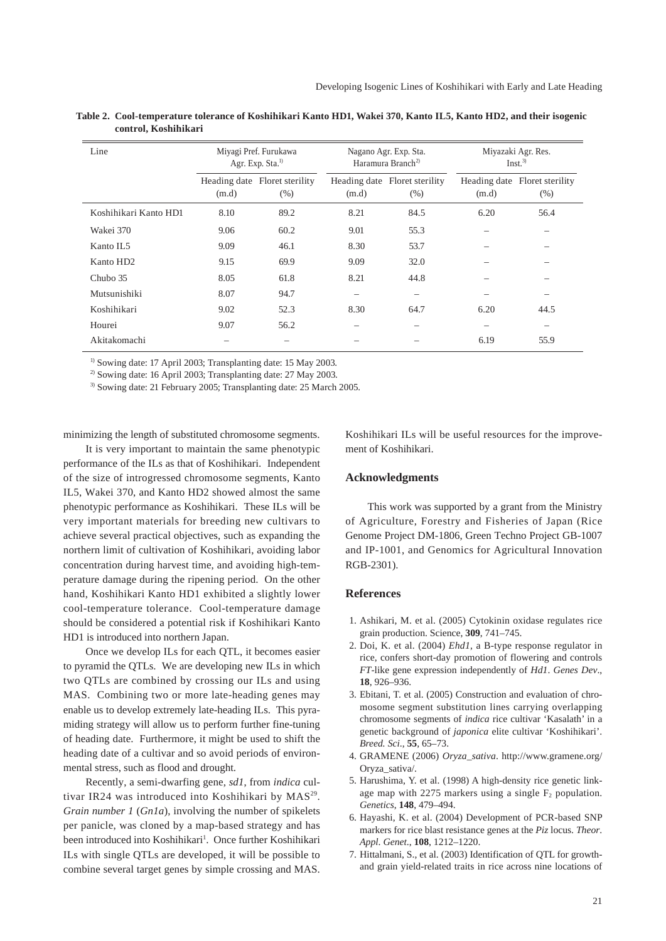| Line                  |       | Miyagi Pref. Furukawa<br>Agr. Exp. Sta. <sup>1)</sup> |       | Nagano Agr. Exp. Sta.<br>Haramura Branch <sup>2)</sup> | Miyazaki Agr. Res.<br>Inst. <sup>3</sup> |                                         |  |
|-----------------------|-------|-------------------------------------------------------|-------|--------------------------------------------------------|------------------------------------------|-----------------------------------------|--|
|                       | (m.d) | Heading date Floret sterility<br>(% )                 | (m.d) | Heading date Floret sterility<br>(% )                  | (m.d)                                    | Heading date Floret sterility<br>$(\%)$ |  |
| Koshihikari Kanto HD1 | 8.10  | 89.2                                                  | 8.21  | 84.5                                                   | 6.20                                     | 56.4                                    |  |
| Wakei 370             | 9.06  | 60.2                                                  | 9.01  | 55.3                                                   |                                          |                                         |  |
| Kanto IL <sub>5</sub> | 9.09  | 46.1                                                  | 8.30  | 53.7                                                   |                                          |                                         |  |
| Kanto HD <sub>2</sub> | 9.15  | 69.9                                                  | 9.09  | 32.0                                                   |                                          |                                         |  |
| Chubo 35              | 8.05  | 61.8                                                  | 8.21  | 44.8                                                   |                                          |                                         |  |
| Mutsunishiki          | 8.07  | 94.7                                                  |       |                                                        |                                          |                                         |  |
| Koshihikari           | 9.02  | 52.3                                                  | 8.30  | 64.7                                                   | 6.20                                     | 44.5                                    |  |
| Hourei                | 9.07  | 56.2                                                  |       |                                                        | $\overline{\phantom{a}}$                 |                                         |  |
| Akitakomachi          |       |                                                       |       |                                                        | 6.19                                     | 55.9                                    |  |

**Table 2. Cool-temperature tolerance of Koshihikari Kanto HD1, Wakei 370, Kanto IL5, Kanto HD2, and their isogenic control, Koshihikari**

<sup>1)</sup> Sowing date: 17 April 2003; Transplanting date: 15 May 2003.

<sup>2)</sup> Sowing date: 16 April 2003; Transplanting date: 27 May 2003.

3) Sowing date: 21 February 2005; Transplanting date: 25 March 2005.

minimizing the length of substituted chromosome segments.

It is very important to maintain the same phenotypic performance of the ILs as that of Koshihikari. Independent of the size of introgressed chromosome segments, Kanto IL5, Wakei 370, and Kanto HD2 showed almost the same phenotypic performance as Koshihikari. These ILs will be very important materials for breeding new cultivars to achieve several practical objectives, such as expanding the northern limit of cultivation of Koshihikari, avoiding labor concentration during harvest time, and avoiding high-temperature damage during the ripening period. On the other hand, Koshihikari Kanto HD1 exhibited a slightly lower cool-temperature tolerance. Cool-temperature damage should be considered a potential risk if Koshihikari Kanto HD1 is introduced into northern Japan.

Once we develop ILs for each QTL, it becomes easier to pyramid the QTLs. We are developing new ILs in which two QTLs are combined by crossing our ILs and using MAS. Combining two or more late-heading genes may enable us to develop extremely late-heading ILs. This pyramiding strategy will allow us to perform further fine-tuning of heading date. Furthermore, it might be used to shift the heading date of a cultivar and so avoid periods of environmental stress, such as flood and drought.

Recently, a semi-dwarfing gene, *sd1*, from *indica* cultivar IR24 was introduced into Koshihikari by MAS<sup>29</sup>. *Grain number 1* (*Gn1a*), involving the number of spikelets per panicle, was cloned by a map-based strategy and has been introduced into Koshihikari<sup>1</sup>. Once further Koshihikari ILs with single QTLs are developed, it will be possible to combine several target genes by simple crossing and MAS.

Koshihikari ILs will be useful resources for the improvement of Koshihikari.

### **Acknowledgments**

This work was supported by a grant from the Ministry of Agriculture, Forestry and Fisheries of Japan (Rice Genome Project DM-1806, Green Techno Project GB-1007 and IP-1001, and Genomics for Agricultural Innovation RGB-2301).

## **References**

- 1. Ashikari, M. et al. (2005) Cytokinin oxidase regulates rice grain production. Science, **309**, 741–745.
- 2. Doi, K. et al. (2004) *Ehd1*, a B-type response regulator in rice, confers short-day promotion of flowering and controls *FT*-like gene expression independently of *Hd1*. *Genes Dev*., **18**, 926–936.
- 3. Ebitani, T. et al. (2005) Construction and evaluation of chromosome segment substitution lines carrying overlapping chromosome segments of *indica* rice cultivar 'Kasalath' in a genetic background of *japonica* elite cultivar 'Koshihikari'. *Breed. Sci*., **55**, 65–73.
- 4. GRAMENE (2006) *Oryza*\_*sativa*. http://www.gramene.org/ Oryza\_sativa/.
- 5. Harushima, Y. et al. (1998) A high-density rice genetic linkage map with 2275 markers using a single  $F_2$  population. *Genetics*, **148**, 479–494.
- 6. Hayashi, K. et al. (2004) Development of PCR-based SNP markers for rice blast resistance genes at the *Piz* locus. *Theor*. *Appl*. *Genet*., **108**, 1212–1220.
- 7. Hittalmani, S., et al. (2003) Identification of QTL for growthand grain yield-related traits in rice across nine locations of